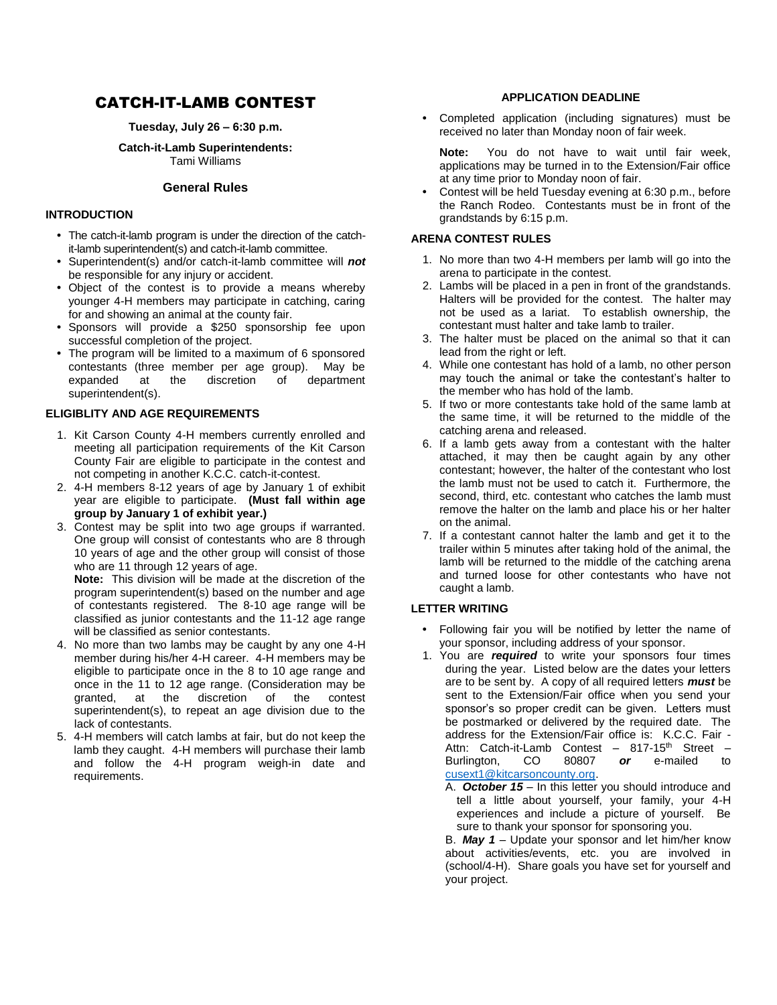# CATCH-IT-LAMB CONTEST

**Tuesday, July 26 – 6:30 p.m.**

**Catch-it-Lamb Superintendents:** Tami Williams

## **General Rules**

#### **INTRODUCTION**

- **•** The catch-it-lamb program is under the direction of the catchit-lamb superintendent(s) and catch-it-lamb committee.
- **•** Superintendent(s) and/or catch-it-lamb committee will *not* be responsible for any injury or accident.
- **•** Object of the contest is to provide a means whereby younger 4-H members may participate in catching, caring for and showing an animal at the county fair.
- **•** Sponsors will provide a \$250 sponsorship fee upon successful completion of the project.
- **•** The program will be limited to a maximum of 6 sponsored contestants (three member per age group). May be expanded at the discretion of department superintendent(s).

### **ELIGIBLITY AND AGE REQUIREMENTS**

- 1. Kit Carson County 4-H members currently enrolled and meeting all participation requirements of the Kit Carson County Fair are eligible to participate in the contest and not competing in another K.C.C. catch-it-contest.
- 2. 4-H members 8-12 years of age by January 1 of exhibit year are eligible to participate. **(Must fall within age group by January 1 of exhibit year.)**
- 3. Contest may be split into two age groups if warranted. One group will consist of contestants who are 8 through 10 years of age and the other group will consist of those who are 11 through 12 years of age.

**Note:** This division will be made at the discretion of the program superintendent(s) based on the number and age of contestants registered. The 8-10 age range will be classified as junior contestants and the 11-12 age range will be classified as senior contestants.

- 4. No more than two lambs may be caught by any one 4-H member during his/her 4-H career. 4-H members may be eligible to participate once in the 8 to 10 age range and once in the 11 to 12 age range. (Consideration may be granted, at the discretion of the contest superintendent(s), to repeat an age division due to the lack of contestants.
- 5. 4-H members will catch lambs at fair, but do not keep the lamb they caught. 4-H members will purchase their lamb and follow the 4-H program weigh-in date and requirements.

## **APPLICATION DEADLINE**

**•** Completed application (including signatures) must be received no later than Monday noon of fair week.

**Note:** You do not have to wait until fair week, applications may be turned in to the Extension/Fair office at any time prior to Monday noon of fair.

**•** Contest will be held Tuesday evening at 6:30 p.m., before the Ranch Rodeo. Contestants must be in front of the grandstands by 6:15 p.m.

### **ARENA CONTEST RULES**

- 1. No more than two 4-H members per lamb will go into the arena to participate in the contest.
- 2. Lambs will be placed in a pen in front of the grandstands. Halters will be provided for the contest. The halter may not be used as a lariat. To establish ownership, the contestant must halter and take lamb to trailer.
- 3. The halter must be placed on the animal so that it can lead from the right or left.
- 4. While one contestant has hold of a lamb, no other person may touch the animal or take the contestant's halter to the member who has hold of the lamb.
- 5. If two or more contestants take hold of the same lamb at the same time, it will be returned to the middle of the catching arena and released.
- 6. If a lamb gets away from a contestant with the halter attached, it may then be caught again by any other contestant; however, the halter of the contestant who lost the lamb must not be used to catch it. Furthermore, the second, third, etc. contestant who catches the lamb must remove the halter on the lamb and place his or her halter on the animal.
- 7. If a contestant cannot halter the lamb and get it to the trailer within 5 minutes after taking hold of the animal, the lamb will be returned to the middle of the catching arena and turned loose for other contestants who have not caught a lamb.

## **LETTER WRITING**

- **•** Following fair you will be notified by letter the name of your sponsor, including address of your sponsor.
- 1. You are *required* to write your sponsors four times during the year. Listed below are the dates your letters are to be sent by. A copy of all required letters *must* be sent to the Extension/Fair office when you send your sponsor's so proper credit can be given. Letters must be postmarked or delivered by the required date. The address for the Extension/Fair office is: K.C.C. Fair - Attn: Catch-it-Lamb Contest - 817-15<sup>th</sup> Street -Burlington, CO 80807 *or* e-mailed to [cusext1@kitcarsoncounty.org.](mailto:cusext1@kitcarsoncounty.org)
	- A. *October 15 –* In this letter you should introduce and tell a little about yourself, your family, your 4-H experiences and include a picture of yourself. Be sure to thank your sponsor for sponsoring you.

B. *May 1* – Update your sponsor and let him/her know about activities/events, etc. you are involved in (school/4-H). Share goals you have set for yourself and your project.